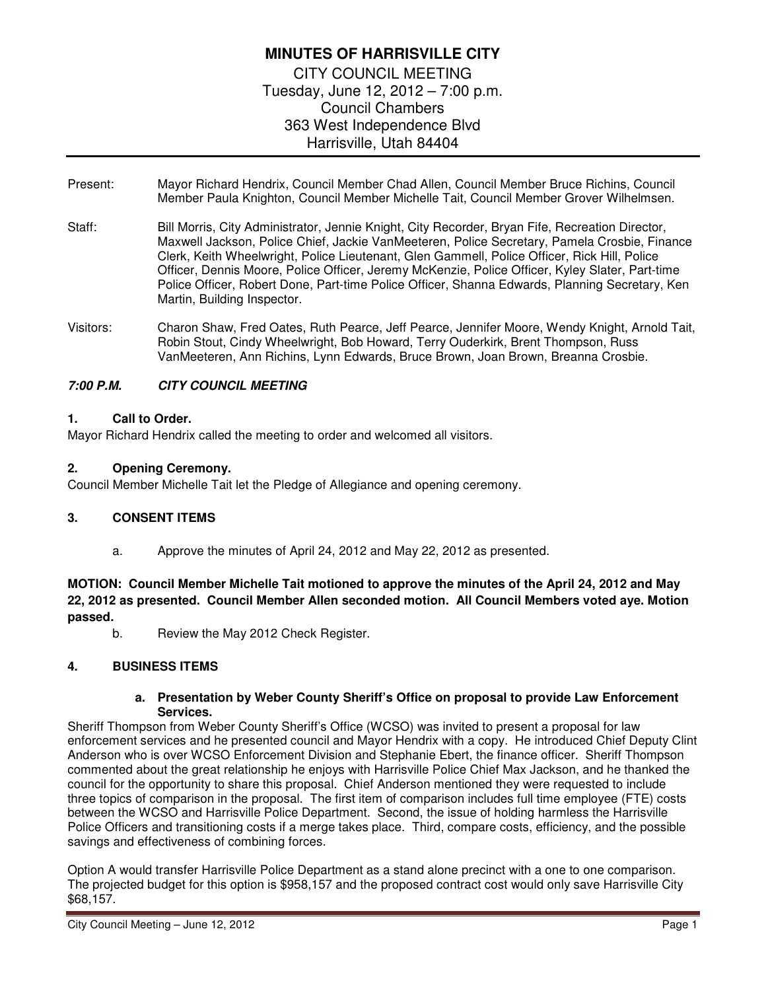# **MINUTES OF HARRISVILLE CITY**  CITY COUNCIL MEETING Tuesday, June 12, 2012 – 7:00 p.m. Council Chambers 363 West Independence Blvd Harrisville, Utah 84404

- Present: Mayor Richard Hendrix, Council Member Chad Allen, Council Member Bruce Richins, Council Member Paula Knighton, Council Member Michelle Tait, Council Member Grover Wilhelmsen.
- Staff: Bill Morris, City Administrator, Jennie Knight, City Recorder, Bryan Fife, Recreation Director, Maxwell Jackson, Police Chief, Jackie VanMeeteren, Police Secretary, Pamela Crosbie, Finance Clerk, Keith Wheelwright, Police Lieutenant, Glen Gammell, Police Officer, Rick Hill, Police Officer, Dennis Moore, Police Officer, Jeremy McKenzie, Police Officer, Kyley Slater, Part-time Police Officer, Robert Done, Part-time Police Officer, Shanna Edwards, Planning Secretary, Ken Martin, Building Inspector.
- Visitors: Charon Shaw, Fred Oates, Ruth Pearce, Jeff Pearce, Jennifer Moore, Wendy Knight, Arnold Tait, Robin Stout, Cindy Wheelwright, Bob Howard, Terry Ouderkirk, Brent Thompson, Russ VanMeeteren, Ann Richins, Lynn Edwards, Bruce Brown, Joan Brown, Breanna Crosbie.

### **7:00 P.M. CITY COUNCIL MEETING**

#### **1. Call to Order.**

Mayor Richard Hendrix called the meeting to order and welcomed all visitors.

### **2. Opening Ceremony.**

Council Member Michelle Tait let the Pledge of Allegiance and opening ceremony.

#### **3. CONSENT ITEMS**

a. Approve the minutes of April 24, 2012 and May 22, 2012 as presented.

**MOTION: Council Member Michelle Tait motioned to approve the minutes of the April 24, 2012 and May 22, 2012 as presented. Council Member Allen seconded motion. All Council Members voted aye. Motion passed.** 

b. Review the May 2012 Check Register.

# **4. BUSINESS ITEMS**

#### **a. Presentation by Weber County Sheriff's Office on proposal to provide Law Enforcement Services.**

Sheriff Thompson from Weber County Sheriff's Office (WCSO) was invited to present a proposal for law enforcement services and he presented council and Mayor Hendrix with a copy. He introduced Chief Deputy Clint Anderson who is over WCSO Enforcement Division and Stephanie Ebert, the finance officer. Sheriff Thompson commented about the great relationship he enjoys with Harrisville Police Chief Max Jackson, and he thanked the council for the opportunity to share this proposal. Chief Anderson mentioned they were requested to include three topics of comparison in the proposal. The first item of comparison includes full time employee (FTE) costs between the WCSO and Harrisville Police Department. Second, the issue of holding harmless the Harrisville Police Officers and transitioning costs if a merge takes place. Third, compare costs, efficiency, and the possible savings and effectiveness of combining forces.

Option A would transfer Harrisville Police Department as a stand alone precinct with a one to one comparison. The projected budget for this option is \$958,157 and the proposed contract cost would only save Harrisville City \$68,157.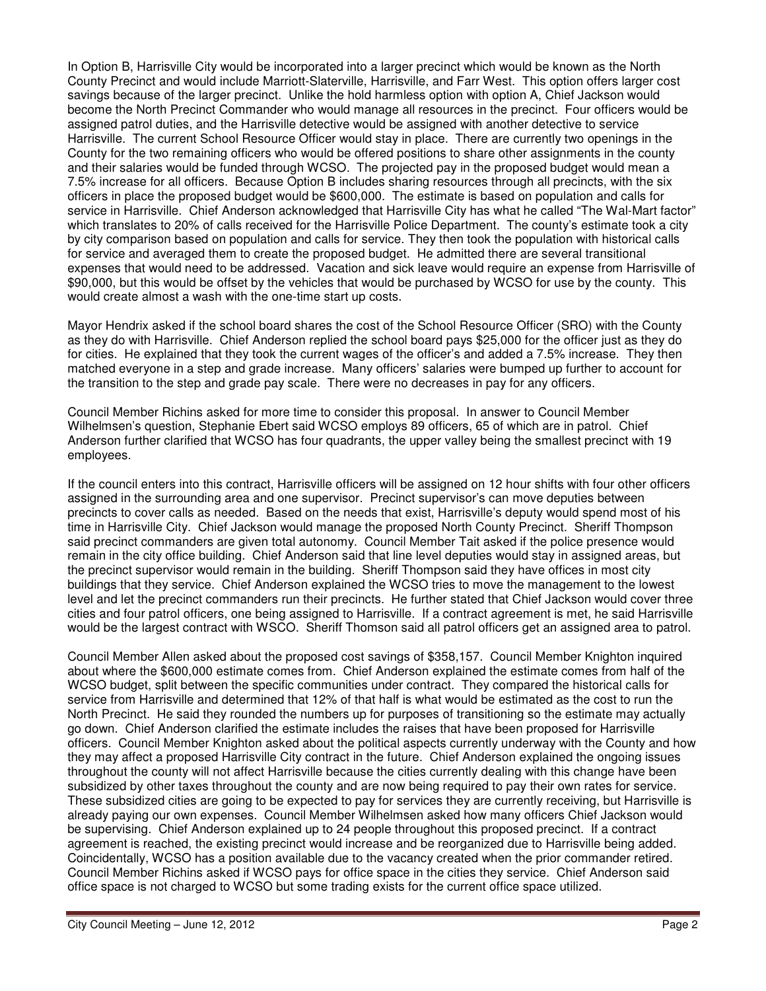In Option B, Harrisville City would be incorporated into a larger precinct which would be known as the North County Precinct and would include Marriott-Slaterville, Harrisville, and Farr West. This option offers larger cost savings because of the larger precinct. Unlike the hold harmless option with option A, Chief Jackson would become the North Precinct Commander who would manage all resources in the precinct. Four officers would be assigned patrol duties, and the Harrisville detective would be assigned with another detective to service Harrisville. The current School Resource Officer would stay in place. There are currently two openings in the County for the two remaining officers who would be offered positions to share other assignments in the county and their salaries would be funded through WCSO. The projected pay in the proposed budget would mean a 7.5% increase for all officers. Because Option B includes sharing resources through all precincts, with the six officers in place the proposed budget would be \$600,000. The estimate is based on population and calls for service in Harrisville. Chief Anderson acknowledged that Harrisville City has what he called "The Wal-Mart factor" which translates to 20% of calls received for the Harrisville Police Department. The county's estimate took a city by city comparison based on population and calls for service. They then took the population with historical calls for service and averaged them to create the proposed budget. He admitted there are several transitional expenses that would need to be addressed. Vacation and sick leave would require an expense from Harrisville of \$90,000, but this would be offset by the vehicles that would be purchased by WCSO for use by the county. This would create almost a wash with the one-time start up costs.

Mayor Hendrix asked if the school board shares the cost of the School Resource Officer (SRO) with the County as they do with Harrisville. Chief Anderson replied the school board pays \$25,000 for the officer just as they do for cities. He explained that they took the current wages of the officer's and added a 7.5% increase. They then matched everyone in a step and grade increase. Many officers' salaries were bumped up further to account for the transition to the step and grade pay scale. There were no decreases in pay for any officers.

Council Member Richins asked for more time to consider this proposal. In answer to Council Member Wilhelmsen's question, Stephanie Ebert said WCSO employs 89 officers, 65 of which are in patrol. Chief Anderson further clarified that WCSO has four quadrants, the upper valley being the smallest precinct with 19 employees.

If the council enters into this contract, Harrisville officers will be assigned on 12 hour shifts with four other officers assigned in the surrounding area and one supervisor. Precinct supervisor's can move deputies between precincts to cover calls as needed. Based on the needs that exist, Harrisville's deputy would spend most of his time in Harrisville City. Chief Jackson would manage the proposed North County Precinct. Sheriff Thompson said precinct commanders are given total autonomy. Council Member Tait asked if the police presence would remain in the city office building. Chief Anderson said that line level deputies would stay in assigned areas, but the precinct supervisor would remain in the building. Sheriff Thompson said they have offices in most city buildings that they service. Chief Anderson explained the WCSO tries to move the management to the lowest level and let the precinct commanders run their precincts. He further stated that Chief Jackson would cover three cities and four patrol officers, one being assigned to Harrisville. If a contract agreement is met, he said Harrisville would be the largest contract with WSCO. Sheriff Thomson said all patrol officers get an assigned area to patrol.

Council Member Allen asked about the proposed cost savings of \$358,157. Council Member Knighton inquired about where the \$600,000 estimate comes from. Chief Anderson explained the estimate comes from half of the WCSO budget, split between the specific communities under contract. They compared the historical calls for service from Harrisville and determined that 12% of that half is what would be estimated as the cost to run the North Precinct. He said they rounded the numbers up for purposes of transitioning so the estimate may actually go down. Chief Anderson clarified the estimate includes the raises that have been proposed for Harrisville officers. Council Member Knighton asked about the political aspects currently underway with the County and how they may affect a proposed Harrisville City contract in the future. Chief Anderson explained the ongoing issues throughout the county will not affect Harrisville because the cities currently dealing with this change have been subsidized by other taxes throughout the county and are now being required to pay their own rates for service. These subsidized cities are going to be expected to pay for services they are currently receiving, but Harrisville is already paying our own expenses. Council Member Wilhelmsen asked how many officers Chief Jackson would be supervising. Chief Anderson explained up to 24 people throughout this proposed precinct. If a contract agreement is reached, the existing precinct would increase and be reorganized due to Harrisville being added. Coincidentally, WCSO has a position available due to the vacancy created when the prior commander retired. Council Member Richins asked if WCSO pays for office space in the cities they service. Chief Anderson said office space is not charged to WCSO but some trading exists for the current office space utilized.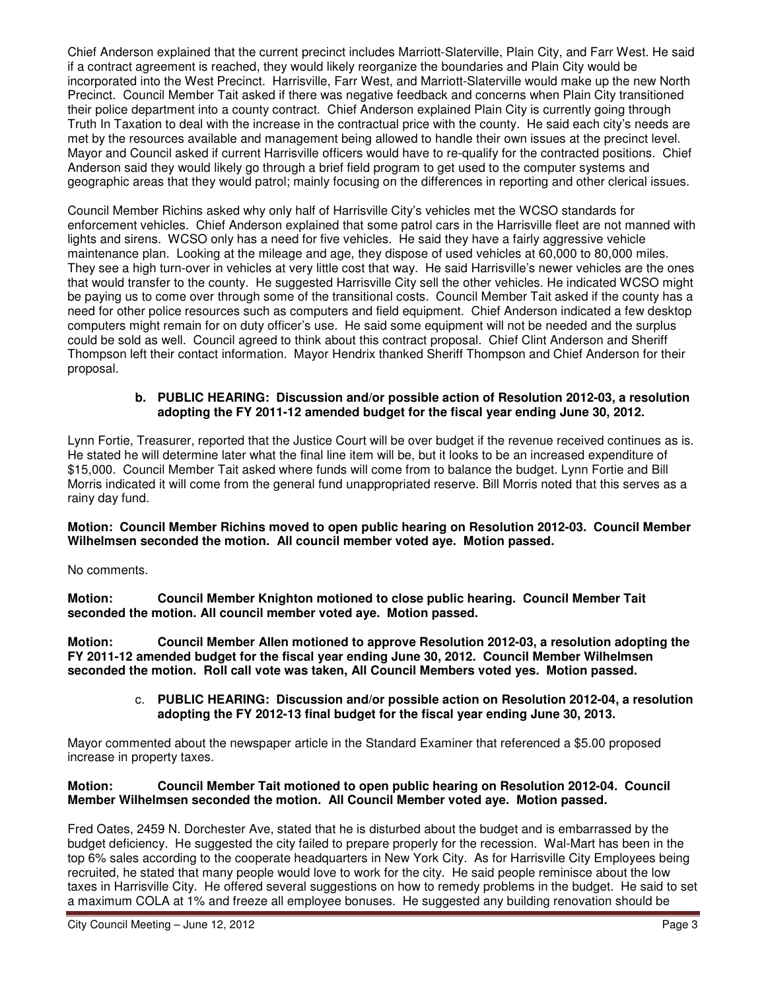Chief Anderson explained that the current precinct includes Marriott-Slaterville, Plain City, and Farr West. He said if a contract agreement is reached, they would likely reorganize the boundaries and Plain City would be incorporated into the West Precinct. Harrisville, Farr West, and Marriott-Slaterville would make up the new North Precinct. Council Member Tait asked if there was negative feedback and concerns when Plain City transitioned their police department into a county contract. Chief Anderson explained Plain City is currently going through Truth In Taxation to deal with the increase in the contractual price with the county. He said each city's needs are met by the resources available and management being allowed to handle their own issues at the precinct level. Mayor and Council asked if current Harrisville officers would have to re-qualify for the contracted positions. Chief Anderson said they would likely go through a brief field program to get used to the computer systems and geographic areas that they would patrol; mainly focusing on the differences in reporting and other clerical issues.

Council Member Richins asked why only half of Harrisville City's vehicles met the WCSO standards for enforcement vehicles. Chief Anderson explained that some patrol cars in the Harrisville fleet are not manned with lights and sirens. WCSO only has a need for five vehicles. He said they have a fairly aggressive vehicle maintenance plan. Looking at the mileage and age, they dispose of used vehicles at 60,000 to 80,000 miles. They see a high turn-over in vehicles at very little cost that way. He said Harrisville's newer vehicles are the ones that would transfer to the county. He suggested Harrisville City sell the other vehicles. He indicated WCSO might be paying us to come over through some of the transitional costs. Council Member Tait asked if the county has a need for other police resources such as computers and field equipment. Chief Anderson indicated a few desktop computers might remain for on duty officer's use. He said some equipment will not be needed and the surplus could be sold as well. Council agreed to think about this contract proposal. Chief Clint Anderson and Sheriff Thompson left their contact information. Mayor Hendrix thanked Sheriff Thompson and Chief Anderson for their proposal.

#### **b. PUBLIC HEARING: Discussion and/or possible action of Resolution 2012-03, a resolution adopting the FY 2011-12 amended budget for the fiscal year ending June 30, 2012.**

Lynn Fortie, Treasurer, reported that the Justice Court will be over budget if the revenue received continues as is. He stated he will determine later what the final line item will be, but it looks to be an increased expenditure of \$15,000. Council Member Tait asked where funds will come from to balance the budget. Lynn Fortie and Bill Morris indicated it will come from the general fund unappropriated reserve. Bill Morris noted that this serves as a rainy day fund.

**Motion: Council Member Richins moved to open public hearing on Resolution 2012-03. Council Member Wilhelmsen seconded the motion. All council member voted aye. Motion passed.** 

No comments.

**Motion: Council Member Knighton motioned to close public hearing. Council Member Tait seconded the motion. All council member voted aye. Motion passed.** 

**Motion: Council Member Allen motioned to approve Resolution 2012-03, a resolution adopting the FY 2011-12 amended budget for the fiscal year ending June 30, 2012. Council Member Wilhelmsen seconded the motion. Roll call vote was taken, All Council Members voted yes. Motion passed.** 

> c. **PUBLIC HEARING: Discussion and/or possible action on Resolution 2012-04, a resolution adopting the FY 2012-13 final budget for the fiscal year ending June 30, 2013.**

Mayor commented about the newspaper article in the Standard Examiner that referenced a \$5.00 proposed increase in property taxes.

#### **Motion: Council Member Tait motioned to open public hearing on Resolution 2012-04. Council Member Wilhelmsen seconded the motion. All Council Member voted aye. Motion passed.**

Fred Oates, 2459 N. Dorchester Ave, stated that he is disturbed about the budget and is embarrassed by the budget deficiency. He suggested the city failed to prepare properly for the recession. Wal-Mart has been in the top 6% sales according to the cooperate headquarters in New York City. As for Harrisville City Employees being recruited, he stated that many people would love to work for the city. He said people reminisce about the low taxes in Harrisville City. He offered several suggestions on how to remedy problems in the budget. He said to set a maximum COLA at 1% and freeze all employee bonuses. He suggested any building renovation should be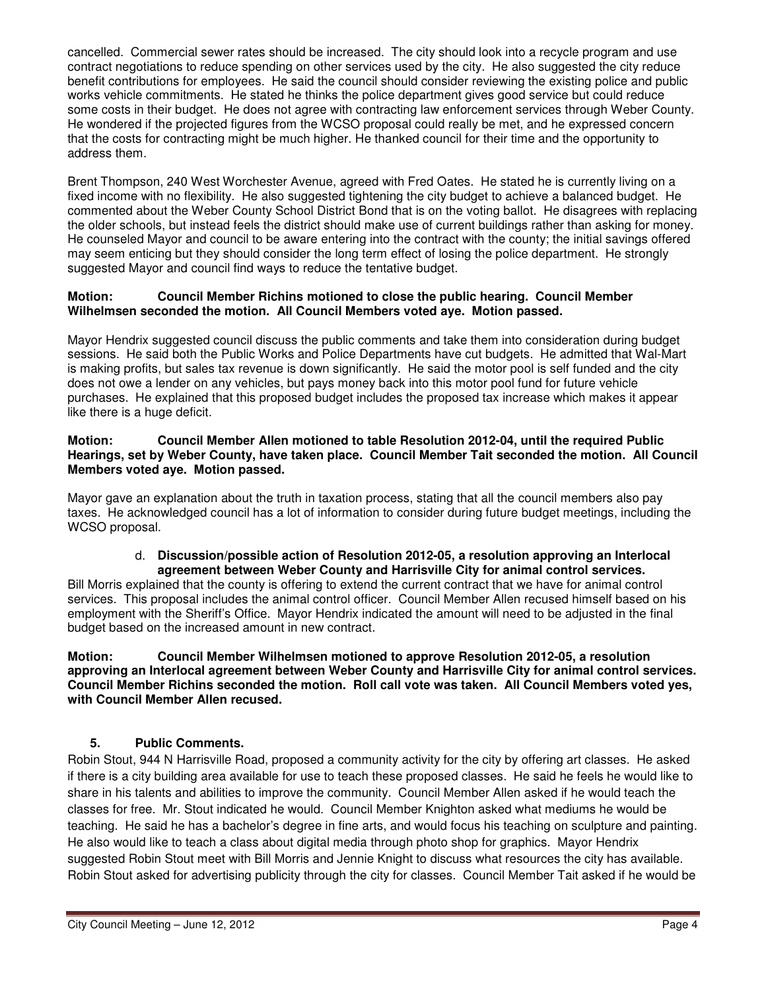cancelled. Commercial sewer rates should be increased. The city should look into a recycle program and use contract negotiations to reduce spending on other services used by the city. He also suggested the city reduce benefit contributions for employees. He said the council should consider reviewing the existing police and public works vehicle commitments. He stated he thinks the police department gives good service but could reduce some costs in their budget. He does not agree with contracting law enforcement services through Weber County. He wondered if the projected figures from the WCSO proposal could really be met, and he expressed concern that the costs for contracting might be much higher. He thanked council for their time and the opportunity to address them.

Brent Thompson, 240 West Worchester Avenue, agreed with Fred Oates. He stated he is currently living on a fixed income with no flexibility. He also suggested tightening the city budget to achieve a balanced budget. He commented about the Weber County School District Bond that is on the voting ballot. He disagrees with replacing the older schools, but instead feels the district should make use of current buildings rather than asking for money. He counseled Mayor and council to be aware entering into the contract with the county; the initial savings offered may seem enticing but they should consider the long term effect of losing the police department. He strongly suggested Mayor and council find ways to reduce the tentative budget.

#### **Motion: Council Member Richins motioned to close the public hearing. Council Member Wilhelmsen seconded the motion. All Council Members voted aye. Motion passed.**

Mayor Hendrix suggested council discuss the public comments and take them into consideration during budget sessions. He said both the Public Works and Police Departments have cut budgets. He admitted that Wal-Mart is making profits, but sales tax revenue is down significantly. He said the motor pool is self funded and the city does not owe a lender on any vehicles, but pays money back into this motor pool fund for future vehicle purchases. He explained that this proposed budget includes the proposed tax increase which makes it appear like there is a huge deficit.

#### **Motion: Council Member Allen motioned to table Resolution 2012-04, until the required Public Hearings, set by Weber County, have taken place. Council Member Tait seconded the motion. All Council Members voted aye. Motion passed.**

Mayor gave an explanation about the truth in taxation process, stating that all the council members also pay taxes. He acknowledged council has a lot of information to consider during future budget meetings, including the WCSO proposal.

#### d. **Discussion/possible action of Resolution 2012-05, a resolution approving an Interlocal agreement between Weber County and Harrisville City for animal control services.**

Bill Morris explained that the county is offering to extend the current contract that we have for animal control services. This proposal includes the animal control officer. Council Member Allen recused himself based on his employment with the Sheriff's Office. Mayor Hendrix indicated the amount will need to be adjusted in the final budget based on the increased amount in new contract.

#### **Motion: Council Member Wilhelmsen motioned to approve Resolution 2012-05, a resolution approving an Interlocal agreement between Weber County and Harrisville City for animal control services. Council Member Richins seconded the motion. Roll call vote was taken. All Council Members voted yes, with Council Member Allen recused.**

# **5. Public Comments.**

Robin Stout, 944 N Harrisville Road, proposed a community activity for the city by offering art classes. He asked if there is a city building area available for use to teach these proposed classes. He said he feels he would like to share in his talents and abilities to improve the community. Council Member Allen asked if he would teach the classes for free. Mr. Stout indicated he would. Council Member Knighton asked what mediums he would be teaching. He said he has a bachelor's degree in fine arts, and would focus his teaching on sculpture and painting. He also would like to teach a class about digital media through photo shop for graphics. Mayor Hendrix suggested Robin Stout meet with Bill Morris and Jennie Knight to discuss what resources the city has available. Robin Stout asked for advertising publicity through the city for classes. Council Member Tait asked if he would be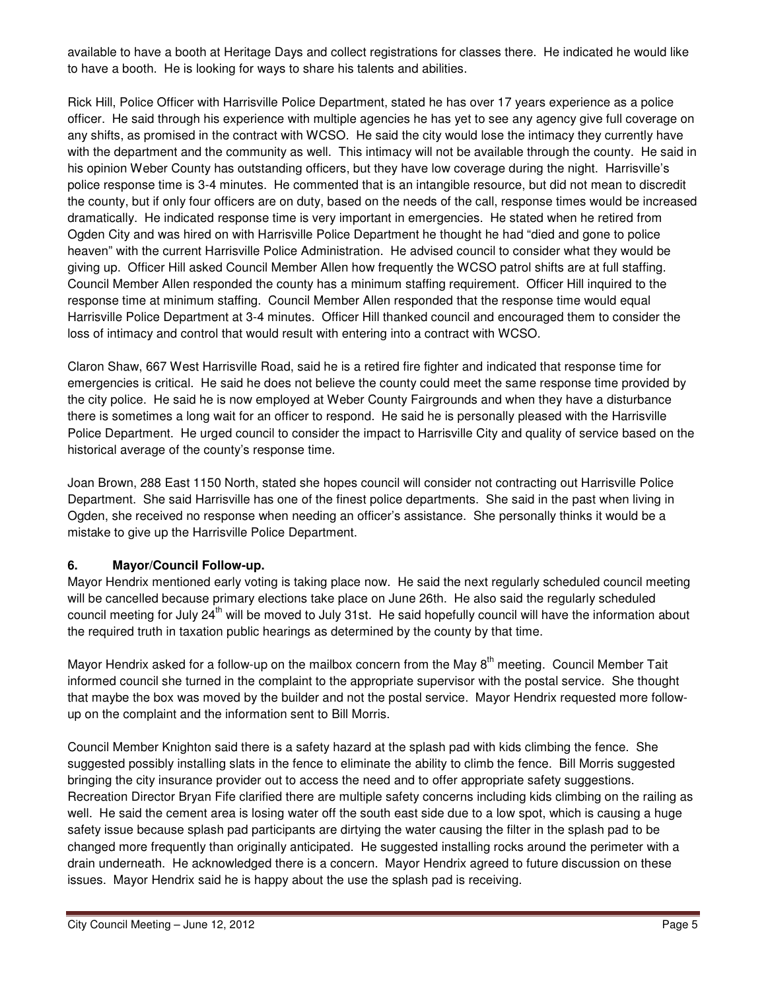available to have a booth at Heritage Days and collect registrations for classes there. He indicated he would like to have a booth. He is looking for ways to share his talents and abilities.

Rick Hill, Police Officer with Harrisville Police Department, stated he has over 17 years experience as a police officer. He said through his experience with multiple agencies he has yet to see any agency give full coverage on any shifts, as promised in the contract with WCSO. He said the city would lose the intimacy they currently have with the department and the community as well. This intimacy will not be available through the county. He said in his opinion Weber County has outstanding officers, but they have low coverage during the night. Harrisville's police response time is 3-4 minutes. He commented that is an intangible resource, but did not mean to discredit the county, but if only four officers are on duty, based on the needs of the call, response times would be increased dramatically. He indicated response time is very important in emergencies. He stated when he retired from Ogden City and was hired on with Harrisville Police Department he thought he had "died and gone to police heaven" with the current Harrisville Police Administration. He advised council to consider what they would be giving up. Officer Hill asked Council Member Allen how frequently the WCSO patrol shifts are at full staffing. Council Member Allen responded the county has a minimum staffing requirement. Officer Hill inquired to the response time at minimum staffing. Council Member Allen responded that the response time would equal Harrisville Police Department at 3-4 minutes. Officer Hill thanked council and encouraged them to consider the loss of intimacy and control that would result with entering into a contract with WCSO.

Claron Shaw, 667 West Harrisville Road, said he is a retired fire fighter and indicated that response time for emergencies is critical. He said he does not believe the county could meet the same response time provided by the city police. He said he is now employed at Weber County Fairgrounds and when they have a disturbance there is sometimes a long wait for an officer to respond. He said he is personally pleased with the Harrisville Police Department. He urged council to consider the impact to Harrisville City and quality of service based on the historical average of the county's response time.

Joan Brown, 288 East 1150 North, stated she hopes council will consider not contracting out Harrisville Police Department. She said Harrisville has one of the finest police departments. She said in the past when living in Ogden, she received no response when needing an officer's assistance. She personally thinks it would be a mistake to give up the Harrisville Police Department.

# **6. Mayor/Council Follow-up.**

Mayor Hendrix mentioned early voting is taking place now. He said the next regularly scheduled council meeting will be cancelled because primary elections take place on June 26th. He also said the regularly scheduled council meeting for July 24<sup>th</sup> will be moved to July 31st. He said hopefully council will have the information about the required truth in taxation public hearings as determined by the county by that time.

Mayor Hendrix asked for a follow-up on the mailbox concern from the May  $8<sup>th</sup>$  meeting. Council Member Tait informed council she turned in the complaint to the appropriate supervisor with the postal service. She thought that maybe the box was moved by the builder and not the postal service. Mayor Hendrix requested more followup on the complaint and the information sent to Bill Morris.

Council Member Knighton said there is a safety hazard at the splash pad with kids climbing the fence. She suggested possibly installing slats in the fence to eliminate the ability to climb the fence. Bill Morris suggested bringing the city insurance provider out to access the need and to offer appropriate safety suggestions. Recreation Director Bryan Fife clarified there are multiple safety concerns including kids climbing on the railing as well. He said the cement area is losing water off the south east side due to a low spot, which is causing a huge safety issue because splash pad participants are dirtying the water causing the filter in the splash pad to be changed more frequently than originally anticipated. He suggested installing rocks around the perimeter with a drain underneath. He acknowledged there is a concern. Mayor Hendrix agreed to future discussion on these issues. Mayor Hendrix said he is happy about the use the splash pad is receiving.